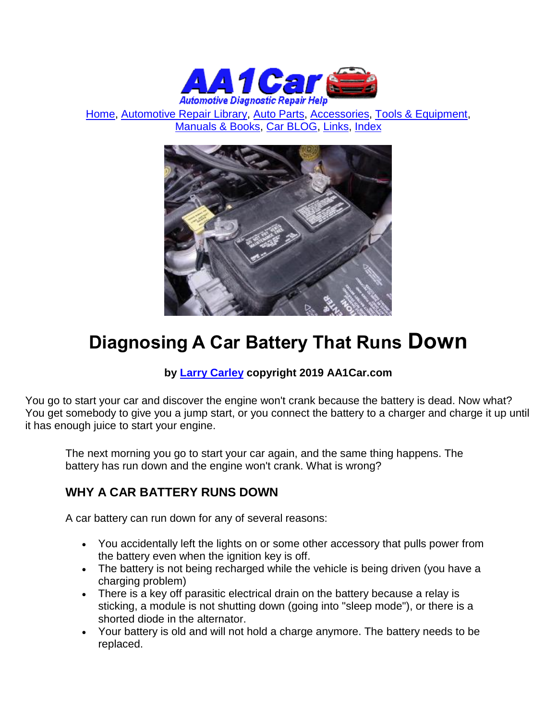

[Home,](http://www.aa1car.com/) [Automotive Repair Library,](http://www.aa1car.com/library.htm) [Auto Parts,](http://www.aa1car.com/links_parts.htm) [Accessories,](http://www.aa1car.com/links_accessories.htm) [Tools & Equipment,](http://www.aa1car.com/links_tools.htm) [Manuals & Books,](http://www.aa1car.com/links_books.htm) [Car BLOG,](http://www.aa1car.com/blog/blog.htm) [Links,](http://www.aa1car.com/links.htm) [Index](http://www.aa1car.com/index_alphabetical.htm)



# **Diagnosing A Car Battery That Runs Down**

#### **by [Larry Carley](https://www.aa1car.com/larrypage/larrycarley_photos.htm) copyright 2019 AA1Car.com**

You go to start your car and discover the engine won't crank because the battery is dead. Now what? You get somebody to give you a jump start, or you connect the battery to a charger and charge it up until it has enough juice to start your engine.

The next morning you go to start your car again, and the same thing happens. The battery has run down and the engine won't crank. What is wrong?

# **WHY A CAR BATTERY RUNS DOWN**

A car battery can run down for any of several reasons:

- You accidentally left the lights on or some other accessory that pulls power from the battery even when the ignition key is off.
- The battery is not being recharged while the vehicle is being driven (you have a charging problem)
- There is a key off parasitic electrical drain on the battery because a relay is sticking, a module is not shutting down (going into "sleep mode"), or there is a shorted diode in the alternator.
- Your battery is old and will not hold a charge anymore. The battery needs to be replaced.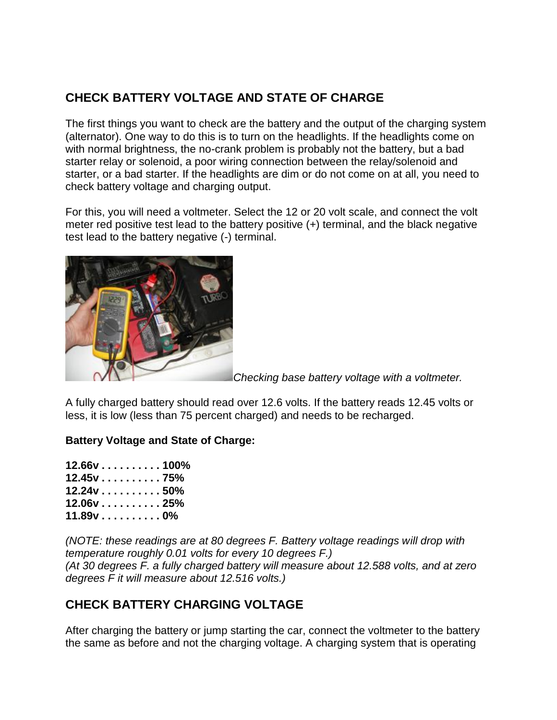# **CHECK BATTERY VOLTAGE AND STATE OF CHARGE**

The first things you want to check are the battery and the output of the charging system (alternator). One way to do this is to turn on the headlights. If the headlights come on with normal brightness, the no-crank problem is probably not the battery, but a bad starter relay or solenoid, a poor wiring connection between the relay/solenoid and starter, or a bad starter. If the headlights are dim or do not come on at all, you need to check battery voltage and charging output.

For this, you will need a voltmeter. Select the 12 or 20 volt scale, and connect the volt meter red positive test lead to the battery positive (+) terminal, and the black negative test lead to the battery negative (-) terminal.



*Checking base battery voltage with a voltmeter.*

A fully charged battery should read over 12.6 volts. If the battery reads 12.45 volts or less, it is low (less than 75 percent charged) and needs to be recharged.

#### **Battery Voltage and State of Charge:**

| $12.66v$ 100% |  |
|---------------|--|
| 12.45v 75%    |  |
| 12.24v 50%    |  |
| $12.06v$ 25%  |  |
| 11.89v 0%     |  |

*(NOTE: these readings are at 80 degrees F. Battery voltage readings will drop with temperature roughly 0.01 volts for every 10 degrees F.) (At 30 degrees F. a fully charged battery will measure about 12.588 volts, and at zero degrees F it will measure about 12.516 volts.)*

# **CHECK BATTERY CHARGING VOLTAGE**

After charging the battery or jump starting the car, connect the voltmeter to the battery the same as before and not the charging voltage. A charging system that is operating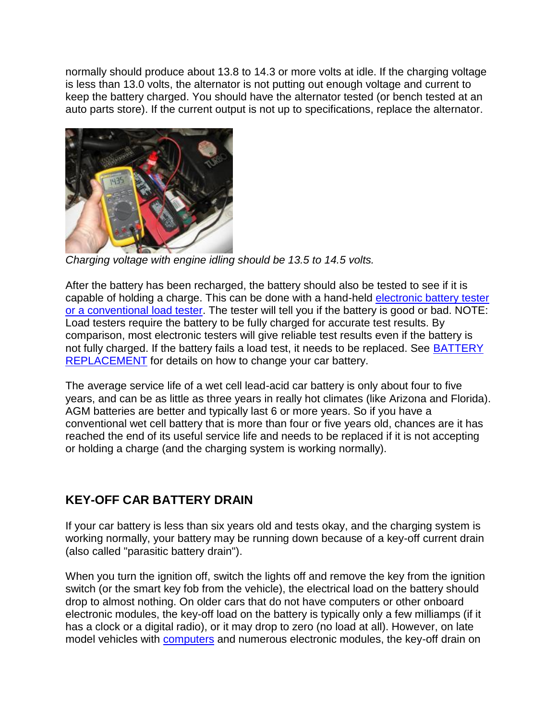normally should produce about 13.8 to 14.3 or more volts at idle. If the charging voltage is less than 13.0 volts, the alternator is not putting out enough voltage and current to keep the battery charged. You should have the alternator tested (or bench tested at an auto parts store). If the current output is not up to specifications, replace the alternator.



*Charging voltage with engine idling should be 13.5 to 14.5 volts.*

After the battery has been recharged, the battery should also be tested to see if it is capable of holding a charge. This can be done with a hand-held [electronic battery tester](http://www.aa1car.com/library/2003/us20310.htm)  [or a conventional load tester.](http://www.aa1car.com/library/2003/us20310.htm) The tester will tell you if the battery is good or bad. NOTE: Load testers require the battery to be fully charged for accurate test results. By comparison, most electronic testers will give reliable test results even if the battery is not fully charged. If the battery fails a load test, it needs to be replaced. See **BATTERY** [REPLACEMENT](http://www.aa1car.com/library/battery_replace.htm) for details on how to change your car battery.

The average service life of a wet cell lead-acid car battery is only about four to five years, and can be as little as three years in really hot climates (like Arizona and Florida). AGM batteries are better and typically last 6 or more years. So if you have a conventional wet cell battery that is more than four or five years old, chances are it has reached the end of its useful service life and needs to be replaced if it is not accepting or holding a charge (and the charging system is working normally).

# **KEY-OFF CAR BATTERY DRAIN**

If your car battery is less than six years old and tests okay, and the charging system is working normally, your battery may be running down because of a key-off current drain (also called "parasitic battery drain").

When you turn the ignition off, switch the lights off and remove the key from the ignition switch (or the smart key fob from the vehicle), the electrical load on the battery should drop to almost nothing. On older cars that do not have computers or other onboard electronic modules, the key-off load on the battery is typically only a few milliamps (if it has a clock or a digital radio), or it may drop to zero (no load at all). However, on late model vehicles with **computers** and numerous electronic modules, the key-off drain on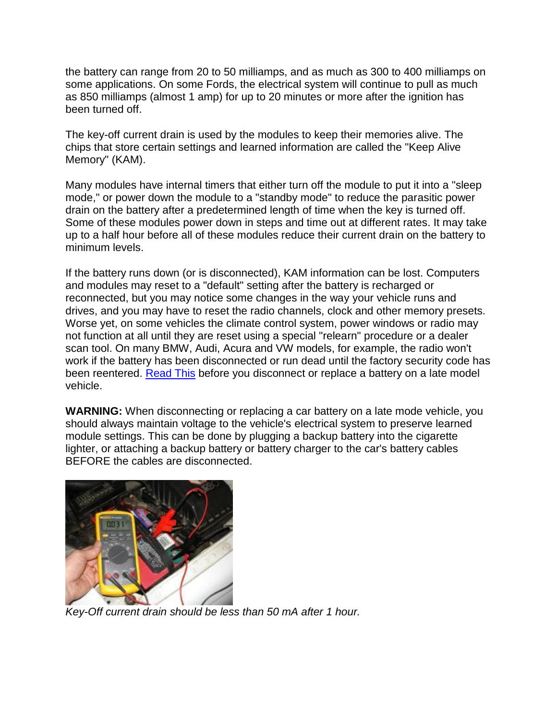the battery can range from 20 to 50 milliamps, and as much as 300 to 400 milliamps on some applications. On some Fords, the electrical system will continue to pull as much as 850 milliamps (almost 1 amp) for up to 20 minutes or more after the ignition has been turned off.

The key-off current drain is used by the modules to keep their memories alive. The chips that store certain settings and learned information are called the "Keep Alive Memory" (KAM).

Many modules have internal timers that either turn off the module to put it into a "sleep mode," or power down the module to a "standby mode" to reduce the parasitic power drain on the battery after a predetermined length of time when the key is turned off. Some of these modules power down in steps and time out at different rates. It may take up to a half hour before all of these modules reduce their current drain on the battery to minimum levels.

If the battery runs down (or is disconnected), KAM information can be lost. Computers and modules may reset to a "default" setting after the battery is recharged or reconnected, but you may notice some changes in the way your vehicle runs and drives, and you may have to reset the radio channels, clock and other memory presets. Worse yet, on some vehicles the climate control system, power windows or radio may not function at all until they are reset using a special "relearn" procedure or a dealer scan tool. On many BMW, Audi, Acura and VW models, for example, the radio won't work if the battery has been disconnected or run dead until the factory security code has been reentered. [Read This](http://www.aa1car.com/library/battery_disconnect_problems.htm) before you disconnect or replace a battery on a late model vehicle.

**WARNING:** When disconnecting or replacing a car battery on a late mode vehicle, you should always maintain voltage to the vehicle's electrical system to preserve learned module settings. This can be done by plugging a backup battery into the cigarette lighter, or attaching a backup battery or battery charger to the car's battery cables BEFORE the cables are disconnected.



*Key-Off current drain should be less than 50 mA after 1 hour.*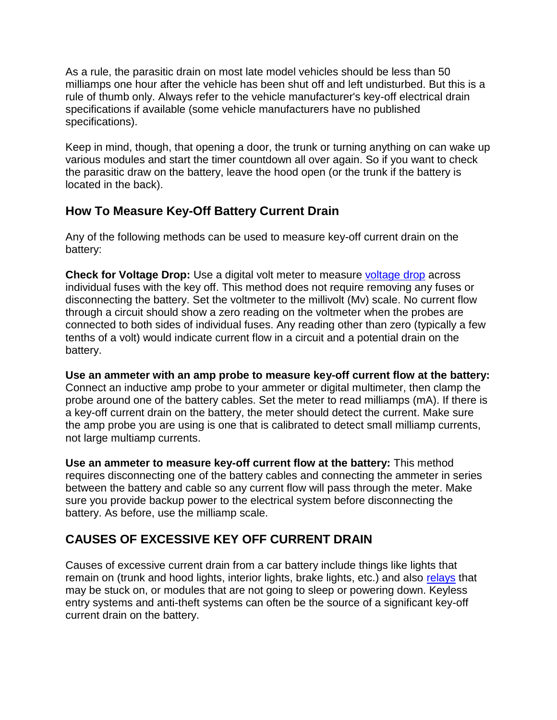As a rule, the parasitic drain on most late model vehicles should be less than 50 milliamps one hour after the vehicle has been shut off and left undisturbed. But this is a rule of thumb only. Always refer to the vehicle manufacturer's key-off electrical drain specifications if available (some vehicle manufacturers have no published specifications).

Keep in mind, though, that opening a door, the trunk or turning anything on can wake up various modules and start the timer countdown all over again. So if you want to check the parasitic draw on the battery, leave the hood open (or the trunk if the battery is located in the back).

#### **How To Measure Key-Off Battery Current Drain**

Any of the following methods can be used to measure key-off current drain on the battery:

**Check for Voltage Drop:** Use a digital volt meter to measure [voltage drop](http://www.aa1car.com/library/voltage_drop_testing.htm) across individual fuses with the key off. This method does not require removing any fuses or disconnecting the battery. Set the voltmeter to the millivolt (Mv) scale. No current flow through a circuit should show a zero reading on the voltmeter when the probes are connected to both sides of individual fuses. Any reading other than zero (typically a few tenths of a volt) would indicate current flow in a circuit and a potential drain on the battery.

**Use an ammeter with an amp probe to measure key-off current flow at the battery:** Connect an inductive amp probe to your ammeter or digital multimeter, then clamp the probe around one of the battery cables. Set the meter to read milliamps (mA). If there is a key-off current drain on the battery, the meter should detect the current. Make sure the amp probe you are using is one that is calibrated to detect small milliamp currents, not large multiamp currents.

**Use an ammeter to measure key-off current flow at the battery:** This method requires disconnecting one of the battery cables and connecting the ammeter in series between the battery and cable so any current flow will pass through the meter. Make sure you provide backup power to the electrical system before disconnecting the battery. As before, use the milliamp scale.

# **CAUSES OF EXCESSIVE KEY OFF CURRENT DRAIN**

Causes of excessive current drain from a car battery include things like lights that remain on (trunk and hood lights, interior lights, brake lights, etc.) and also [relays](http://www.aa1car.com/library/power_centers.htm) that may be stuck on, or modules that are not going to sleep or powering down. Keyless entry systems and anti-theft systems can often be the source of a significant key-off current drain on the battery.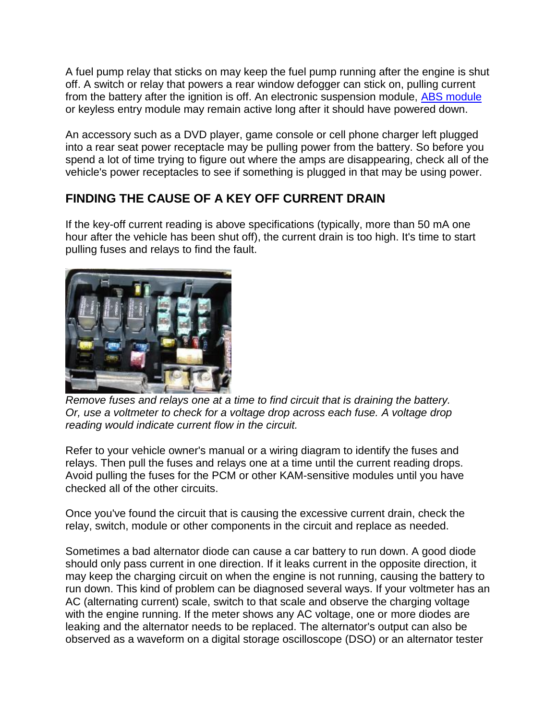A fuel pump relay that sticks on may keep the fuel pump running after the engine is shut off. A switch or relay that powers a rear window defogger can stick on, pulling current from the battery after the ignition is off. An electronic suspension module, [ABS module](http://www.aa1car.com/library/abs1.htm) or keyless entry module may remain active long after it should have powered down.

An accessory such as a DVD player, game console or cell phone charger left plugged into a rear seat power receptacle may be pulling power from the battery. So before you spend a lot of time trying to figure out where the amps are disappearing, check all of the vehicle's power receptacles to see if something is plugged in that may be using power.

#### **FINDING THE CAUSE OF A KEY OFF CURRENT DRAIN**

If the key-off current reading is above specifications (typically, more than 50 mA one hour after the vehicle has been shut off), the current drain is too high. It's time to start pulling fuses and relays to find the fault.



*Remove fuses and relays one at a time to find circuit that is draining the battery. Or, use a voltmeter to check for a voltage drop across each fuse. A voltage drop reading would indicate current flow in the circuit.*

Refer to your vehicle owner's manual or a wiring diagram to identify the fuses and relays. Then pull the fuses and relays one at a time until the current reading drops. Avoid pulling the fuses for the PCM or other KAM-sensitive modules until you have checked all of the other circuits.

Once you've found the circuit that is causing the excessive current drain, check the relay, switch, module or other components in the circuit and replace as needed.

Sometimes a bad alternator diode can cause a car battery to run down. A good diode should only pass current in one direction. If it leaks current in the opposite direction, it may keep the charging circuit on when the engine is not running, causing the battery to run down. This kind of problem can be diagnosed several ways. If your voltmeter has an AC (alternating current) scale, switch to that scale and observe the charging voltage with the engine running. If the meter shows any AC voltage, one or more diodes are leaking and the alternator needs to be replaced. The alternator's output can also be observed as a waveform on a digital storage oscilloscope (DSO) or an alternator tester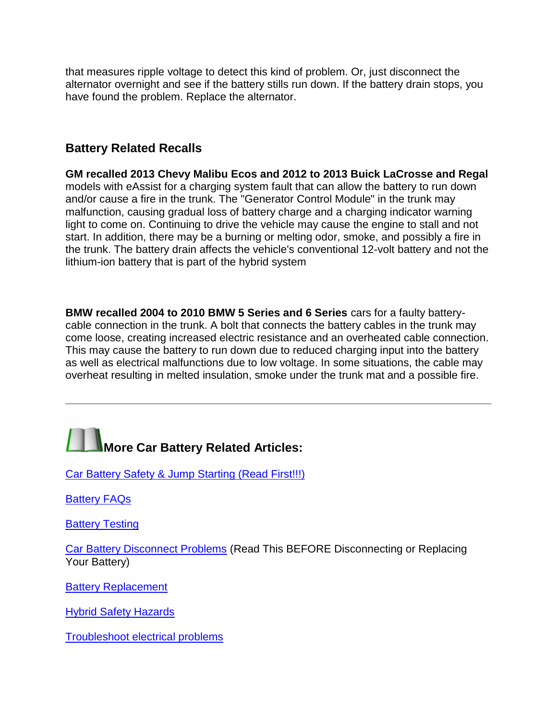that measures ripple voltage to detect this kind of problem. Or, just disconnect the alternator overnight and see if the battery stills run down. If the battery drain stops, you have found the problem. Replace the alternator.

#### **Battery Related Recalls**

**GM recalled 2013 Chevy Malibu Ecos and 2012 to 2013 Buick LaCrosse and Regal** models with eAssist for a charging system fault that can allow the battery to run down and/or cause a fire in the trunk. The "Generator Control Module" in the trunk may malfunction, causing gradual loss of battery charge and a charging indicator warning light to come on. Continuing to drive the vehicle may cause the engine to stall and not start. In addition, there may be a burning or melting odor, smoke, and possibly a fire in the trunk. The battery drain affects the vehicle's conventional 12-volt battery and not the lithium-ion battery that is part of the hybrid system

**BMW recalled 2004 to 2010 BMW 5 Series and 6 Series** cars for a faulty batterycable connection in the trunk. A bolt that connects the battery cables in the trunk may come loose, creating increased electric resistance and an overheated cable connection. This may cause the battery to run down due to reduced charging input into the battery as well as electrical malfunctions due to low voltage. In some situations, the cable may overheat resulting in melted insulation, smoke under the trunk mat and a possible fire.



[Car Battery Safety & Jump Starting \(Read First!!!\)](http://www.aa1car.com/library/battery_safety.htm)

**[Battery FAQs](http://www.aa1car.com/library/battery_faqs.htm)** 

**[Battery Testing](http://www.aa1car.com/library/2003/us20310.htm)** 

[Car Battery Disconnect Problems](http://www.aa1car.com/library/battery_disconnect_problems.htm) (Read This BEFORE Disconnecting or Replacing Your Battery)

[Battery Replacement](http://www.aa1car.com/library/battery_replace.htm)

[Hybrid Safety Hazards](http://www.aa1car.com/library/hybrid_hazards.htm)

[Troubleshoot electrical problems](http://www.aa1car.com/library/tselec.htm)